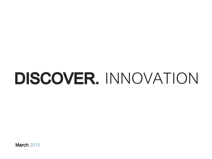# DISCOVER. INNOVATION

**March 2015**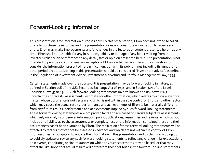### **Forward-Looking Information**

This presentation is for information purposes only. By this presentation, Elron does not intend to solicit offers to purchase its securities and the presentation does not constitute an invitation to receive such offers. Elron may make improvements and/or changes in the features or content presented herein at any time. Elron shall not be liable for any loss, claim, liability or damage of any kind resulting from the investor's reliance on or reference to any detail, fact or opinion presented herein. The presentation is not intended to provide a comprehensive description of Elron's activities, and Elron urges investors to consider the information presented herein in conjunction with its public filings including its annual and other periodic reports. Nothing in this presentation should be considered "investment advice", as defined in the Regulation of Investment Advice, Investment Marketing and Portfolio Management Law, 1995.

Certain statements made over the course of this presentation may be forward-looking in nature, as defined in Section 21E of the U.S. Securities Exchange Act of 1934, and in Section 32A of the Israel Securities Law, 5728-1968. Such forward-looking statements involve known and unknown risks, uncertainties, forecasts, assessments, estimates or other information, which relates to a future event or matter whose occurrence is not certain and which is not within the sole control of Elron, and other factors which may cause the actual results, performance and achievements of Elron to be materially different from any future results, performance and achievements implied by such forward-looking statements. These forward looking statements are not proved facts and are based on Elron's subjective assessments which rely on analysis of general information, public publications, researches and reviews, which do not include any liability as to the accurateness or completeness of the information contained there and their accurateness hasn't been examined by Elron. The realization of these forward looking statements will be affected by factors that cannot be assessed in advance and which are not within the control of Elron. Elron assumes no obligation to update the information in this presentation and disclaims any obligation to publicly update or revise any such forward-looking statements to reflect any change in its expectations or in events, conditions, or circumstances on which any such statements may be based, or that may affect the likelihood that actual results will differ from those set forth in the forward-looking statements.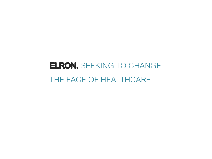## **ELRON.** SEEKING TO CHANGE THE FACE OF HEALTHCARE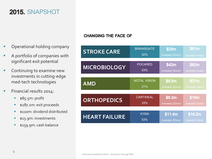### **2015.** SNAPSHOT

- **•** Operational holding company
- **A** portfolio of companies with significant exit potential
- **Continuing to examine new** investments in cutting-edge med-tech technologies
- **Financial results 2014:** 
	- **s** \$85.5m: profit
	- **\$287.2m: exit proceeds**
	- **s** 110m: dividend distributed
	- **515.9m: investments**
	- **\$159.9m: cash balance**

### **CHANGING THE FACE OF**

| <b>STROKE CARE</b>   | <b>BRAINSGATE</b>   | \$25m            | \$81m            |
|----------------------|---------------------|------------------|------------------|
|                      | 30%                 | invested (Elron) | invested (total) |
| <b>MICROBIOLOGY</b>  | <b>POCARED</b>      | \$42m            | \$82m            |
|                      | 53%                 | invested (Elron) | invested (total) |
| <b>AMD</b>           | <b>NOTAL VISION</b> | \$8.5m           | \$37m            |
|                      | 21%                 | invested (Elron) | invested (total) |
| <b>ORTHOPEDICS</b>   | <b>CARTIHEAL</b>    | \$6.3m           | \$16m            |
|                      | 33%                 | invested (Elron) | invested (total) |
| <b>HEART FAILURE</b> | <b>KYMA</b>         | \$11.4m          | \$18.2m          |
|                      | 53%                 | invested (Elron) | invested (total) |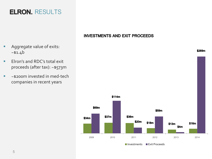## **ELRON.** RESULTS

### **INVESTMENTS AND EXIT PROCEEDS**

- **Aggregate value of exits:**  $~51.4$ b
- **Elron's and RDC's total exit** proceeds (after tax): ~\$573m
- ~\$200m invested in med-tech companies in recent years



\$269m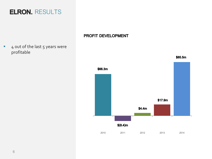

### PROFIT DEVELOPMENT

### $\blacksquare$  4 out of the last 5 years were profitable



6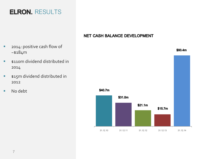### NET CASH BALANCE DEVELOPMENT

- **2014: positive cash flow of**  $~5184m$
- **s110m dividend distributed in** 2014
- **515m dividend distributed in** 2012
- No debt



\$93.4m

### **ELRON.** RESULTS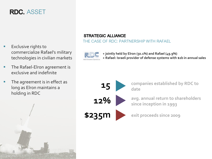### **RDC.** ASSET

- Exclusive rights to commercialize Rafael's military technologies in civilian markets
- **The Rafael-Elron agreement is** exclusive and indefinite
- **The agreement is in effect as** long as Elron maintains a holding in RDC



### **STRATEGIC ALLIANCE**

THE CASE OF RDC: PARTNERSHIP WITH RAFAEL



**+ jointly held by Elron (50.1%) and Rafael (49.9%) + Rafael: Israeli provider of defense systems with \$2b in annual sales**





**companies established by RDC to date**

**avg. annual return to shareholders since inception in 1993**



**exit proceeds since 2009**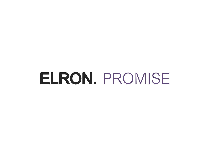# ELRON. PROMISE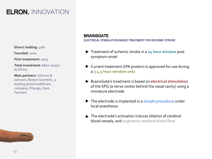**Elron's holding:** 30%

**Founded:** 2000

**First investment:** 2005

**Total investment:** \$81m (\$25m by Elron)

**Main partners:** Johnson & Johnson, Boston Scientific, a leading global healthcare company, Pitango, Cipio Partners



#### **BRAINSGATE**

ELECTRICAL STIMULATION BASED TREATMENT FOR ISCHEMIC STROKE

- Treatment of ischemic stroke in a **24 hour window** post symptom onset
- Current treatment (tPA protein) is approved for use during a **3-4.5 hour window only**
- BrainsGate's treatment is based on **electrical stimulation**  of the SPG (a nerve center behind the nasal cavity) using a miniature electrode
- The electrode is implanted in a **simple procedure** under local anesthesia
- $\blacktriangleright$  The electrode's activation induces dilation of cerebral blood vessels, and **augments cerebral blood flow**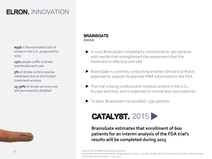**\$95b** is the estimated cost of stroke in the U.S. projected for 2015

**15m** people suffer a stroke worldwide each year

**5%** of stroke victims receive treatment due to the limited treatment window

**15-30%** of stroke survivors are left permanently disabled



#### **BRAINSGATE STATUS**

- ▶ In 2010 BrainsGate completed a clinical trial on 300 patients with results that strengthened the assessment that the treatment is effective and safe
- BrainsGate is currently conducting another clinical trial that is expected to support its planned PMA submission to the FDA
- $\blacktriangleright$  The trial is being conducted at medical centers in the U.S., Europe and Asia, and is expected to include 800-1000 patients
- $\triangleright$  To date, Brains Gate has enrolled ~530 patients



### **BrainsGate estimates that enrollment of 600 patients for an interim analysis of the FDA trial's results will be completed during 2015**

Sources: World Health Organization website:

http://www.who.int/cardiovascular\_diseases/en/cvd\_atlas\_15\_burden\_stroke.pdf. American Heart Association: Heart Disease and Stroke Statistics report – 2010, 2014.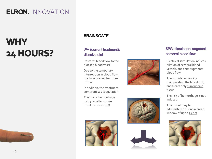## **WHY** 24 HOURS?



### **BRAINSGATE**

### tPA (current treatment): dissolve clot

Restores blood flow to the blocked blood vessel

Due to the temporary interruption in blood flow, the blood vessel becomes brittle

In addition, the treatment compromises coagulation

The risk of hemorrhage just 3 hrs after stroke onset increases 10X









### **SPG stimulation: augment** cerebral blood flow

Electrical stimulation induces dilation of cerebral blood vessels, and thus augments blood flow

The stimulation avoids manipulating the blood clot, and treats only surrounding tissue

The risk of hemorrhage is not induced

Treatment may be administered during a broad window of up to 24 hrs

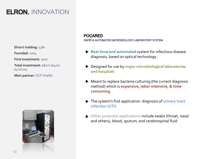**Elron's holding:** 53%

**Founded:** 2004

**First investment:** 2007

**Total investment:** \$82m (\$42m by Elron)

**Main partner:** SCP Vitalife



#### **POCARED**

RAPID & AUTOMATED MICROBIOLOGY LABORATORY SYSTEM

- **Real-time and automated** system for infectious disease diagnosis, based on optical technology
- Designed for use by **major microbiological laboratories and hospitals**
- Meant to replace bacteria culturing (the current diagnosis method) which is **expensive, labor-intensive, & timeconsuming**
- The system's first application: diagnosis of **urinary tract infection (UTI)**
- **Other potential applications include swabs (throat, nasal)** and others), blood, sputum, and cerebrospinal fluid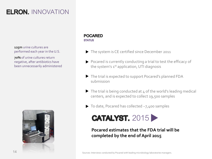**125m** urine cultures are performed each year in the U.S.

**70%** of urine cultures return negative, after antibiotics have been unnecessarily administered



#### **POCARED STATUS**

- The system is CE certified since December 2011
- Pocared is currently conducting a trial to test the efficacy of the system's 1<sup>st</sup> application, UTI diagnosis
- The trial is expected to support Pocared's planned FDA submission
- $\triangleright$  The trial is being conducted at 4 of the world's leading medical centers, and is expected to collect 19,500 samples
- ▶ To date, Pocared has collected ~7,400 samples



**Pocared estimates that the FDA trial will be completed by the end of April 2015**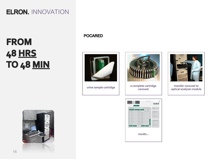## **FROM 48 HRS TO 48 MIN**

**POCARED** 



**urine sample cartridge** 



**a complete cartridge** 

POCARED<sup>y</sup>

**results…**



**transfer carousel to optical analyzer module**



15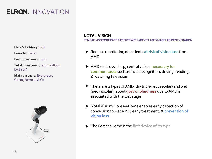**Elron's holding:** 21%

**Founded:** 2000

**First investment:** 2003

**Total investment:** \$37m (\$8.5m by Elron)

**Main partners:** Evergreen, Ganot, Berman & Co



### **NOTAL VISION**

REMOTE MONITORING OF PATIENTS WITH AGE-RELATED MACULAR DEGENERATION

- Remote monitoring of patients **at risk of vision loss** from AMD
- AMD destroys sharp, central vision, **necessary for common tasks** such as facial recognition, driving, reading, & watching television
- ▶ There are 2 types of AMD, dry (non-neovascular) and wet (neovascular); about **90% of blindness** due to AMD is associated with the wet stage
- ▶ Notal Vision's ForeseeHome enables early detection of conversion to wet AMD, early treatment, & **prevention of vision loss**
- The ForeseeHome is the **first device of its type**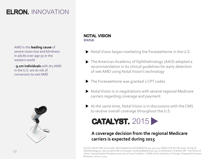AMD is the **leading cause** of severe vision loss and blindness in adults over age 50 in the western world

~**9.1m individuals** with dry AMD in the U.S. are at risk of conversion to wet AMD



### **NOTAL VISION STATUS**

- ▶ Notal Vision began marketing the ForeseeHome in the U.S.
- The American Academy of Ophthalmology (AAO) adopted a recommendation in its clinical guidelines for early detection of wet AMD using Notal Vision's technology
- ▶ The ForeseeHome was granted 2 CPT codes
- NotalVision is in negotiations with several regional Medicare carriers regarding coverage and payment
- $\blacktriangleright$  At the same time, Notal Vision is in discussions with the CMS to receive overall coverage throughout the U.S.



### **A coverage decision from the regional Medicare carriers is expected during 2015**

Sources: Brown DM, et al (2006). *New England Journal of Medicine 355*, 1432-44; SlakterJS & Stur M (2005). S*urvey of Ophthalmology 50*, 263-73; Gehrs KM, et al (2006). *Annals of Medicine 38*, 450-71; Wittenborn JS & Rein DB. "The Future of Vision: Forecasting the Prevalence and Cost of Vision Problems." NORC at the University of Chicago. Prepared for Prevent Blindness, June 11, 2014.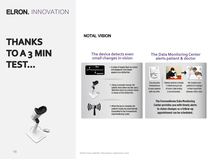## **THANKS TOA3 MIN TEST...**



**NOTAL VISION** 

#### **The device detects even small changes in vision**



1. A series of targets flash on-screen and disappear. Each target appears as a dotted line.



2. Using a computer mouse, the patient clicks where he/she saw a distortion (such as a bump, hump, or wave) on the dotted line.

3. When the test is complete, the patient's results are automatically transmitted to the ForeseeHome Data Monitoring Center.

#### **The Data Monitoring Center alerts patient & doctor**





You prescribe ForeseeHome to your patients with dry AMD.

Patients perform a simple 3-minute test per eye at home. Daily testing is recommended.

We monitor your patients for changes in their visual field between office visits.

The ForeseeHome Data Monitoring Center provides you with timely alerts to vision changes so a follow-up appointment can be scheduled.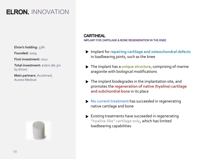**Elron's holding:** 33%

**Founded:** 2009

**First investment:** 2012

**Total investment:** \$16m (\$6.3m by Elron)

**Main partners:** Accelmed, Access Medical



#### **CARTIHEAL**

**IMPLANT FOR CARTILAGE & BONE REGENERATION IN THE KNEE** 

- Implant for **repairing cartilage and osteochondral defects**  in loadbearing joints, such as the knee
- The implant has a **unique structure**, comprising of marine aragonite with biological modifications
- $\blacktriangleright$  The implant biodegrades in the implantation site, and promotes the **regeneration of native (hyaline) cartilage and subchondral bone** in its place
- **No current treatment** has succeeded in regenerating native cartilage and bone
- Existing treatments have succeeded in regenerating **"hyaline-like" cartilage only**, which has limited loadbearing capabilities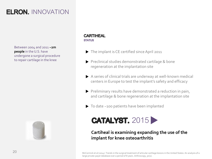Between 2004 and 2011 **~2m people** in the U.S. have undergone a surgical procedure to repair cartilage in the knee



### **CARTIHEAL STATUS**

- The implant is CE certified since April 2011
- Preclinical studies demonstrated cartilage & bone regeneration at the implantation site
- A series of clinical trials are underway at well-known medical centers in Europe to test the implant's safety and efficacy
- Preliminary results have demonstrated a reduction in pain, and cartilage & bone regeneration at the implantation site
- ▶ To date ~100 patients have been implanted



### **Cartiheal is examining expanding the use of the implant for knee osteoarthritis**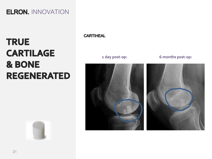## **TRUE CARTILAGE** & BONE **REGENERATED**

**CARTIHEAL** 

**1 day post-op: 6 months post-op:**



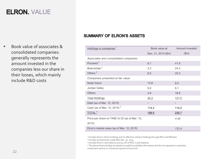## **ELRON. VALUE**

■ Book value of associates & consolidated companies: generally represents the amount invested in the companies less our share in their losses, which mainly include R&D costs

### **SUMMARY OF ELRON'S ASSETS**

| Holdings in companies <sup>1</sup>              | Book value at            | Amount invested          |
|-------------------------------------------------|--------------------------|--------------------------|
|                                                 | Dec. 31, 2014 (\$m)      | $(\text{Im})$            |
| Associates and consolidated companies:          |                          |                          |
| Pocared <sup>2</sup>                            | 6.1                      | 41.8                     |
| BrainsGate <sup>2</sup>                         | 2.3                      | 24.5                     |
| Others <sup>2</sup>                             | 6.5                      | 20.0                     |
| Companies presented at fair value:              |                          |                          |
| <b>Notal Vision</b>                             | 13.8                     | 8.5                      |
| Jordan Valley                                   | 9.0                      | 8.1                      |
| <b>Others</b>                                   | 4.6                      | 18.6                     |
| <b>Total Holdings</b>                           | 42.3                     | 121.5                    |
| Debt (as of Mar. 10, 2015)                      | $\overline{\phantom{a}}$ | $\overline{\phantom{a}}$ |
| Cash (as of Mar. 10, 2015) <sup>3</sup>         | 114.2                    | 114.2                    |
| TOTAL <sup>4</sup>                              | <u>156.5</u>             | 235.7                    |
| Price per share on TASE (in \$) (as of Mar. 10, |                          | 4.48                     |
| 2015)                                           |                          |                          |
| Elron's market value (as of Mar. 10, 2015)      |                          | 133.4                    |

<sup>1</sup>Includes Elron's direct holdings and its effective indirect holdings through RDC and RDSeed.

2 Includes investments made after Dec. 31, 2014.

3 Includes Elron's cash balance and 50.1% of RDC's cash balance.

<sup>4</sup> The above financial data are based on publicly available information and do not represent a valuation, investment advice, or a financial opinion of any kind.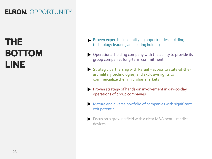## **ELRON.** OPPORTUNITY

## **THE BOTTOM LINE**

- **Proven expertise in identifying opportunities, building** technology leaders, and exiting holdings
- Operational holding company with the ability to provide its group companies long-term commitment
- Strategic partnership with Rafael access to state-of-theart military technologies, and exclusive rights to commercialize them in civilian markets
- Proven strategy of hands-on involvement in day-to-day operations of group companies
- Mature and diverse portfolio of companies with significant exit potential
- Focus on a growing field with a clear M&A bent medical devices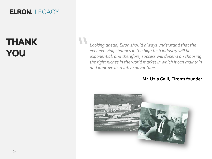### **ELRON.** LEGACY

## **THANK** YOU

*Looking ahead, Elron should always understand that the ever evolving changes in the high tech industry will be exponential, and therefore, success will depend on choosing the right niches in the world market in which it can maintain and improve its relative advantage.* **"** 

### **Mr. Uzia Galil, Elron's founder**